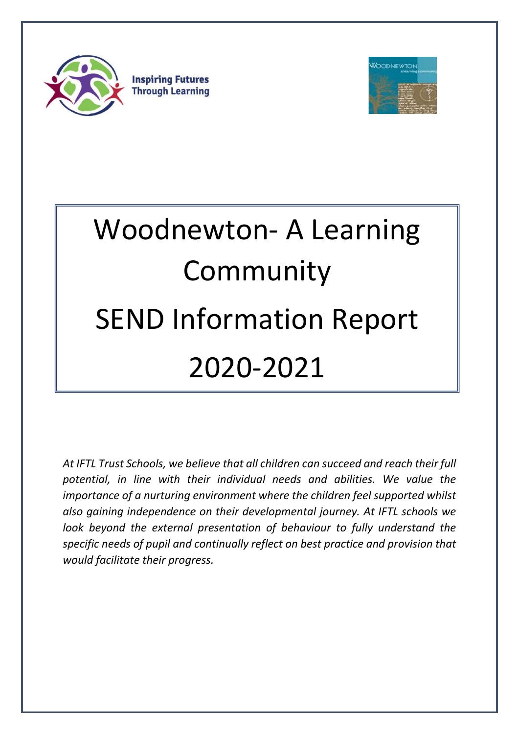

**Inspiring Futures Through Learning** 



# Woodnewton- A Learning Community SEND Information Report 2020-2021

*At IFTL Trust Schools, we believe that all children can succeed and reach their full potential, in line with their individual needs and abilities. We value the importance of a nurturing environment where the children feel supported whilst also gaining independence on their developmental journey. At IFTL schools we look beyond the external presentation of behaviour to fully understand the specific needs of pupil and continually reflect on best practice and provision that would facilitate their progress.*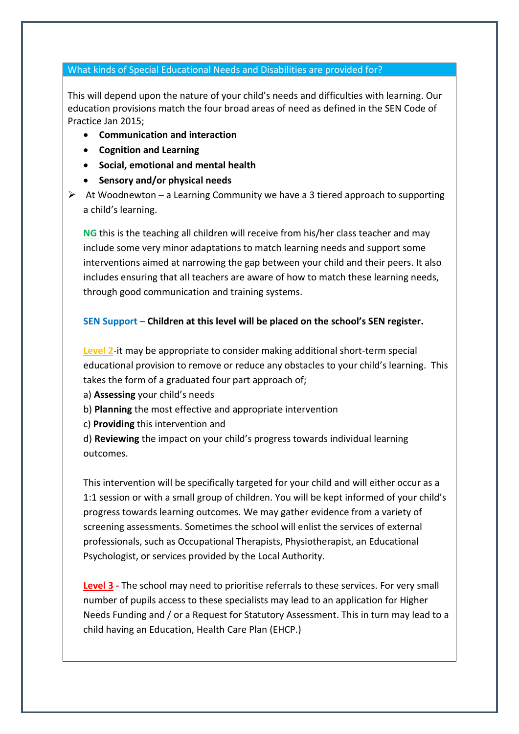## What kinds of Special Educational Needs and Disabilities are provided for?

This will depend upon the nature of your child's needs and difficulties with learning. Our education provisions match the four broad areas of need as defined in the SEN Code of Practice Jan 2015;

- **Communication and interaction**
- **Cognition and Learning**
- **Social, emotional and mental health**
- **Sensory and/or physical needs**
- 

 $\triangleright$  At Woodnewton – a Learning Community we have a 3 tiered approach to supporting a child's learning.

**NG** this is the teaching all children will receive from his/her class teacher and may include some very minor adaptations to match learning needs and support some interventions aimed at narrowing the gap between your child and their peers. It also includes ensuring that all teachers are aware of how to match these learning needs, through good communication and training systems.

## **SEN Support – Children at this level will be placed on the school's SEN register.**

**Level 2**-it may be appropriate to consider making additional short-term special educational provision to remove or reduce any obstacles to your child's learning. This takes the form of a graduated four part approach of;

- a) **Assessing** your child's needs
- b) **Planning** the most effective and appropriate intervention
- c) **Providing** this intervention and
- d) **Reviewing** the impact on your child's progress towards individual learning outcomes.

This intervention will be specifically targeted for your child and will either occur as a 1:1 session or with a small group of children. You will be kept informed of your child's progress towards learning outcomes. We may gather evidence from a variety of screening assessments. Sometimes the school will enlist the services of external professionals, such as Occupational Therapists, Physiotherapist, an Educational Psychologist, or services provided by the Local Authority.

**Level 3 -** The school may need to prioritise referrals to these services. For very small number of pupils access to these specialists may lead to an application for Higher Needs Funding and / or a Request for Statutory Assessment. This in turn may lead to a child having an Education, Health Care Plan (EHCP.)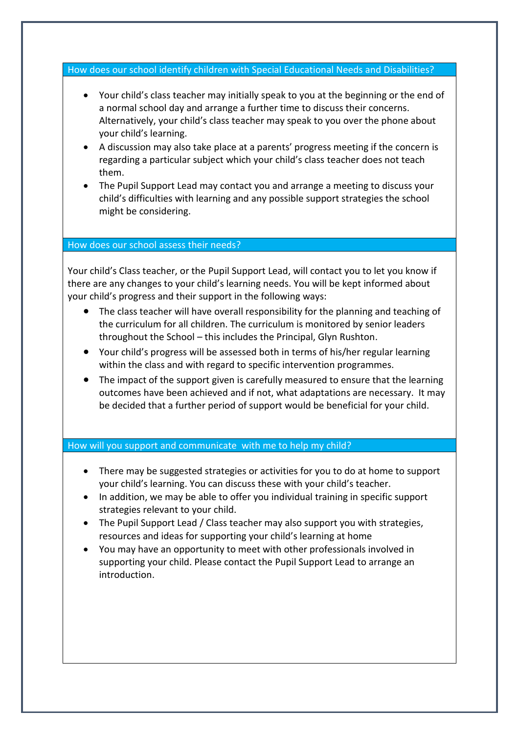How does our school identify children with Special Educational Needs and Disabilities?

- Your child's class teacher may initially speak to you at the beginning or the end of a normal school day and arrange a further time to discuss their concerns. Alternatively, your child's class teacher may speak to you over the phone about your child's learning.
- A discussion may also take place at a parents' progress meeting if the concern is regarding a particular subject which your child's class teacher does not teach them.
- The Pupil Support Lead may contact you and arrange a meeting to discuss your child's difficulties with learning and any possible support strategies the school might be considering.

## How does our school assess their needs?

Your child's Class teacher, or the Pupil Support Lead, will contact you to let you know if there are any changes to your child's learning needs. You will be kept informed about your child's progress and their support in the following ways:

- The class teacher will have overall responsibility for the planning and teaching of the curriculum for all children. The curriculum is monitored by senior leaders throughout the School – this includes the Principal, Glyn Rushton.
- Your child's progress will be assessed both in terms of his/her regular learning within the class and with regard to specific intervention programmes.
- The impact of the support given is carefully measured to ensure that the learning outcomes have been achieved and if not, what adaptations are necessary. It may be decided that a further period of support would be beneficial for your child.

## How will you support and communicate with me to help my child?

- There may be suggested strategies or activities for you to do at home to support your child's learning. You can discuss these with your child's teacher.
- In addition, we may be able to offer you individual training in specific support strategies relevant to your child.
- The Pupil Support Lead / Class teacher may also support you with strategies, resources and ideas for supporting your child's learning at home
- You may have an opportunity to meet with other professionals involved in supporting your child. Please contact the Pupil Support Lead to arrange an introduction.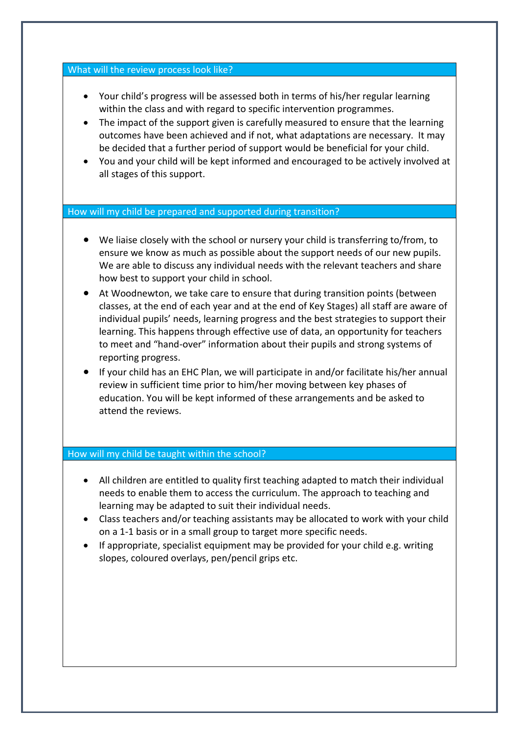## What will the review process look like?

- Your child's progress will be assessed both in terms of his/her regular learning within the class and with regard to specific intervention programmes.
- The impact of the support given is carefully measured to ensure that the learning outcomes have been achieved and if not, what adaptations are necessary. It may be decided that a further period of support would be beneficial for your child.
- You and your child will be kept informed and encouraged to be actively involved at all stages of this support.

## How will my child be prepared and supported during transition?

- We liaise closely with the school or nursery your child is transferring to/from, to ensure we know as much as possible about the support needs of our new pupils. We are able to discuss any individual needs with the relevant teachers and share how best to support your child in school.
- At Woodnewton, we take care to ensure that during transition points (between classes, at the end of each year and at the end of Key Stages) all staff are aware of individual pupils' needs, learning progress and the best strategies to support their learning. This happens through effective use of data, an opportunity for teachers to meet and "hand-over" information about their pupils and strong systems of reporting progress.
- If your child has an EHC Plan, we will participate in and/or facilitate his/her annual review in sufficient time prior to him/her moving between key phases of education. You will be kept informed of these arrangements and be asked to attend the reviews.

## How will my child be taught within the school?

- All children are entitled to quality first teaching adapted to match their individual needs to enable them to access the curriculum. The approach to teaching and learning may be adapted to suit their individual needs.
- Class teachers and/or teaching assistants may be allocated to work with your child on a 1-1 basis or in a small group to target more specific needs.
- If appropriate, specialist equipment may be provided for your child e.g. writing slopes, coloured overlays, pen/pencil grips etc.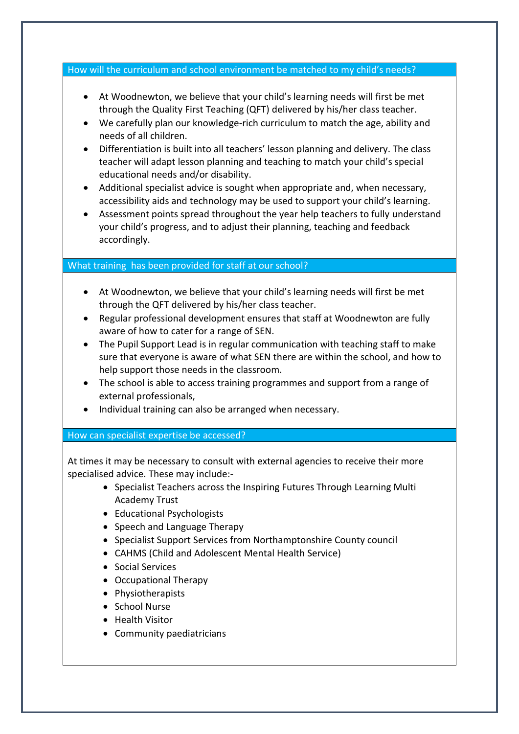How will the curriculum and school environment be matched to my child's needs?

- At Woodnewton, we believe that your child's learning needs will first be met through the Quality First Teaching (QFT) delivered by his/her class teacher.
- We carefully plan our knowledge-rich curriculum to match the age, ability and needs of all children.
- Differentiation is built into all teachers' lesson planning and delivery. The class teacher will adapt lesson planning and teaching to match your child's special educational needs and/or disability.
- Additional specialist advice is sought when appropriate and, when necessary, accessibility aids and technology may be used to support your child's learning.
- Assessment points spread throughout the year help teachers to fully understand your child's progress, and to adjust their planning, teaching and feedback accordingly.

## What training has been provided for staff at our school?

- At Woodnewton, we believe that your child's learning needs will first be met through the QFT delivered by his/her class teacher.
- Regular professional development ensures that staff at Woodnewton are fully aware of how to cater for a range of SEN.
- The Pupil Support Lead is in regular communication with teaching staff to make sure that everyone is aware of what SEN there are within the school, and how to help support those needs in the classroom.
- The school is able to access training programmes and support from a range of external professionals,
- Individual training can also be arranged when necessary.

## How can specialist expertise be accessed?

At times it may be necessary to consult with external agencies to receive their more specialised advice. These may include:-

- Specialist Teachers across the Inspiring Futures Through Learning Multi Academy Trust
- Educational Psychologists
- Speech and Language Therapy
- Specialist Support Services from Northamptonshire County council
- CAHMS (Child and Adolescent Mental Health Service)
- Social Services
- Occupational Therapy
- Physiotherapists
- School Nurse
- Health Visitor
- Community paediatricians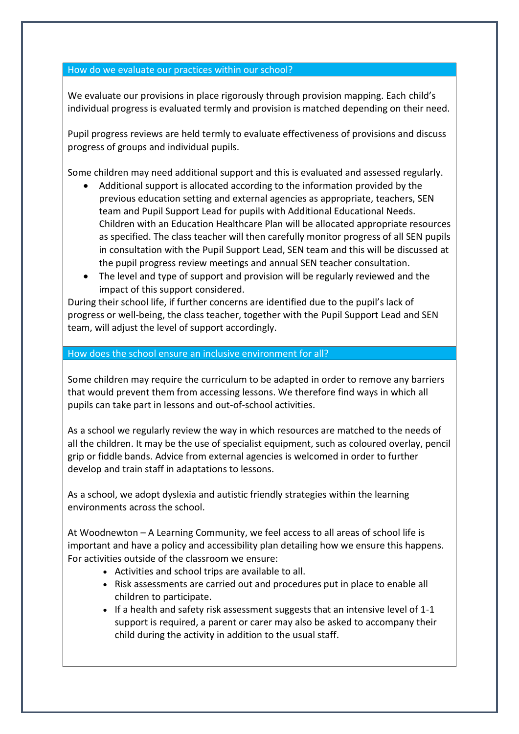## How do we evaluate our practices within our school?

We evaluate our provisions in place rigorously through provision mapping. Each child's individual progress is evaluated termly and provision is matched depending on their need.

Pupil progress reviews are held termly to evaluate effectiveness of provisions and discuss progress of groups and individual pupils.

Some children may need additional support and this is evaluated and assessed regularly.

- Additional support is allocated according to the information provided by the previous education setting and external agencies as appropriate, teachers, SEN team and Pupil Support Lead for pupils with Additional Educational Needs. Children with an Education Healthcare Plan will be allocated appropriate resources as specified. The class teacher will then carefully monitor progress of all SEN pupils in consultation with the Pupil Support Lead, SEN team and this will be discussed at the pupil progress review meetings and annual SEN teacher consultation.
- The level and type of support and provision will be regularly reviewed and the impact of this support considered.

During their school life, if further concerns are identified due to the pupil's lack of progress or well-being, the class teacher, together with the Pupil Support Lead and SEN team, will adjust the level of support accordingly.

## How does the school ensure an inclusive environment for all?

Some children may require the curriculum to be adapted in order to remove any barriers that would prevent them from accessing lessons. We therefore find ways in which all pupils can take part in lessons and out-of-school activities.

As a school we regularly review the way in which resources are matched to the needs of all the children. It may be the use of specialist equipment, such as coloured overlay, pencil grip or fiddle bands. Advice from external agencies is welcomed in order to further develop and train staff in adaptations to lessons.

As a school, we adopt dyslexia and autistic friendly strategies within the learning environments across the school.

At Woodnewton – A Learning Community, we feel access to all areas of school life is important and have a policy and accessibility plan detailing how we ensure this happens. For activities outside of the classroom we ensure:

- Activities and school trips are available to all.
- Risk assessments are carried out and procedures put in place to enable all children to participate.
- If a health and safety risk assessment suggests that an intensive level of 1-1 support is required, a parent or carer may also be asked to accompany their child during the activity in addition to the usual staff.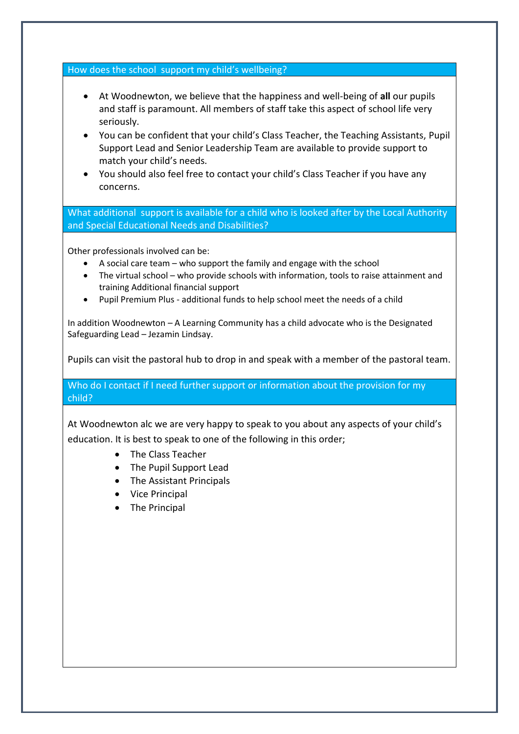How does the school support my child's wellbeing?

- At Woodnewton, we believe that the happiness and well-being of **all** our pupils and staff is paramount. All members of staff take this aspect of school life very seriously.
- You can be confident that your child's Class Teacher, the Teaching Assistants, Pupil Support Lead and Senior Leadership Team are available to provide support to match your child's needs.
- You should also feel free to contact your child's Class Teacher if you have any concerns.

What additional support is available for a child who is looked after by the Local Authority and Special Educational Needs and Disabilities?

Other professionals involved can be:

- A social care team who support the family and engage with the school
- The virtual school who provide schools with information, tools to raise attainment and training Additional financial support
- Pupil Premium Plus additional funds to help school meet the needs of a child

In addition Woodnewton – A Learning Community has a child advocate who is the Designated Safeguarding Lead – Jezamin Lindsay.

Pupils can visit the pastoral hub to drop in and speak with a member of the pastoral team.

Who do I contact if I need further support or information about the provision for my child?

At Woodnewton alc we are very happy to speak to you about any aspects of your child's education. It is best to speak to one of the following in this order;

- The Class Teacher
- The Pupil Support Lead
- The Assistant Principals
- Vice Principal
- The Principal